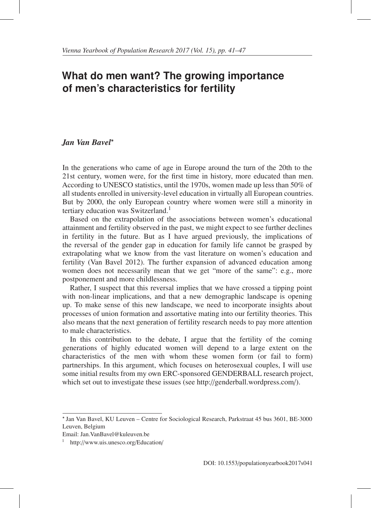# **What do men want? The growing importance of men's characteristics for fertility**

#### *Jan Van Bavel*<sup>∗</sup>

In the generations who came of age in Europe around the turn of the 20th to the 21st century, women were, for the first time in history, more educated than men. According to UNESCO statistics, until the 1970s, women made up less than 50% of all students enrolled in university-level education in virtually all European countries. But by 2000, the only European country where women were still a minority in tertiary education was Switzerland.<sup>1</sup>

Based on the extrapolation of the associations between women's educational attainment and fertility observed in the past, we might expect to see further declines in fertility in the future. But as I have argued previously, the implications of the reversal of the gender gap in education for family life cannot be grasped by extrapolating what we know from the vast literature on women's education and fertility (Van Bavel 2012). The further expansion of advanced education among women does not necessarily mean that we get "more of the same": e.g., more postponement and more childlessness.

Rather, I suspect that this reversal implies that we have crossed a tipping point with non-linear implications, and that a new demographic landscape is opening up. To make sense of this new landscape, we need to incorporate insights about processes of union formation and assortative mating into our fertility theories. This also means that the next generation of fertility research needs to pay more attention to male characteristics.

In this contribution to the debate, I argue that the fertility of the coming generations of highly educated women will depend to a large extent on the characteristics of the men with whom these women form (or fail to form) partnerships. In this argument, which focuses on heterosexual couples, I will use some initial results from my own ERC-sponsored GENDERBALL research project, which set out to investigate these issues (see http://genderball.wordpress.com/).

<sup>∗</sup> Jan Van Bavel, KU Leuven – Centre for Sociological Research, Parkstraat 45 bus 3601, BE-3000 Leuven, Belgium

Email: Jan.VanBavel@kuleuven.be

<sup>1</sup> http://www.uis.unesco.org/Education/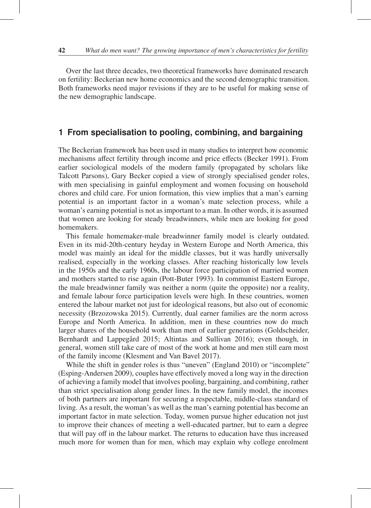Over the last three decades, two theoretical frameworks have dominated research on fertility: Beckerian new home economics and the second demographic transition. Both frameworks need major revisions if they are to be useful for making sense of the new demographic landscape.

# **1 From specialisation to pooling, combining, and bargaining**

The Beckerian framework has been used in many studies to interpret how economic mechanisms affect fertility through income and price effects (Becker 1991). From earlier sociological models of the modern family (propagated by scholars like Talcott Parsons), Gary Becker copied a view of strongly specialised gender roles, with men specialising in gainful employment and women focusing on household chores and child care. For union formation, this view implies that a man's earning potential is an important factor in a woman's mate selection process, while a woman's earning potential is not as important to a man. In other words, it is assumed that women are looking for steady breadwinners, while men are looking for good homemakers.

This female homemaker-male breadwinner family model is clearly outdated. Even in its mid-20th-century heyday in Western Europe and North America, this model was mainly an ideal for the middle classes, but it was hardly universally realised, especially in the working classes. After reaching historically low levels in the 1950s and the early 1960s, the labour force participation of married women and mothers started to rise again (Pott-Buter 1993). In communist Eastern Europe, the male breadwinner family was neither a norm (quite the opposite) nor a reality, and female labour force participation levels were high. In these countries, women entered the labour market not just for ideological reasons, but also out of economic necessity (Brzozowska 2015). Currently, dual earner families are the norm across Europe and North America. In addition, men in these countries now do much larger shares of the household work than men of earlier generations (Goldscheider, Bernhardt and Lappegård 2015; Altintas and Sullivan 2016); even though, in general, women still take care of most of the work at home and men still earn most of the family income (Klesment and Van Bavel 2017).

While the shift in gender roles is thus "uneven" (England 2010) or "incomplete" (Esping-Andersen 2009), couples have effectively moved a long way in the direction of achieving a family model that involves pooling, bargaining, and combining, rather than strict specialisation along gender lines. In the new family model, the incomes of both partners are important for securing a respectable, middle-class standard of living. As a result, the woman's as well as the man's earning potential has become an important factor in mate selection. Today, women pursue higher education not just to improve their chances of meeting a well-educated partner, but to earn a degree that will pay off in the labour market. The returns to education have thus increased much more for women than for men, which may explain why college enrolment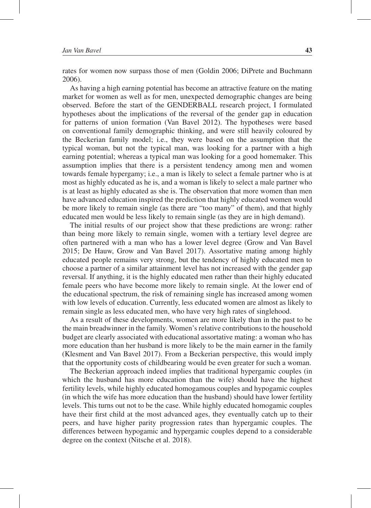rates for women now surpass those of men (Goldin 2006; DiPrete and Buchmann 2006).

As having a high earning potential has become an attractive feature on the mating market for women as well as for men, unexpected demographic changes are being observed. Before the start of the GENDERBALL research project, I formulated hypotheses about the implications of the reversal of the gender gap in education for patterns of union formation (Van Bavel 2012). The hypotheses were based on conventional family demographic thinking, and were still heavily coloured by the Beckerian family model; i.e., they were based on the assumption that the typical woman, but not the typical man, was looking for a partner with a high earning potential; whereas a typical man was looking for a good homemaker. This assumption implies that there is a persistent tendency among men and women towards female hypergamy; i.e., a man is likely to select a female partner who is at most as highly educated as he is, and a woman is likely to select a male partner who is at least as highly educated as she is. The observation that more women than men have advanced education inspired the prediction that highly educated women would be more likely to remain single (as there are "too many" of them), and that highly educated men would be less likely to remain single (as they are in high demand).

The initial results of our project show that these predictions are wrong: rather than being more likely to remain single, women with a tertiary level degree are often partnered with a man who has a lower level degree (Grow and Van Bavel 2015; De Hauw, Grow and Van Bavel 2017). Assortative mating among highly educated people remains very strong, but the tendency of highly educated men to choose a partner of a similar attainment level has not increased with the gender gap reversal. If anything, it is the highly educated men rather than their highly educated female peers who have become more likely to remain single. At the lower end of the educational spectrum, the risk of remaining single has increased among women with low levels of education. Currently, less educated women are almost as likely to remain single as less educated men, who have very high rates of singlehood.

As a result of these developments, women are more likely than in the past to be the main breadwinner in the family. Women's relative contributions to the household budget are clearly associated with educational assortative mating: a woman who has more education than her husband is more likely to be the main earner in the family (Klesment and Van Bavel 2017). From a Beckerian perspective, this would imply that the opportunity costs of childbearing would be even greater for such a woman.

The Beckerian approach indeed implies that traditional hypergamic couples (in which the husband has more education than the wife) should have the highest fertility levels, while highly educated homogamous couples and hypogamic couples (in which the wife has more education than the husband) should have lower fertility levels. This turns out not to be the case. While highly educated homogamic couples have their first child at the most advanced ages, they eventually catch up to their peers, and have higher parity progression rates than hypergamic couples. The differences between hypogamic and hypergamic couples depend to a considerable degree on the context (Nitsche et al. 2018).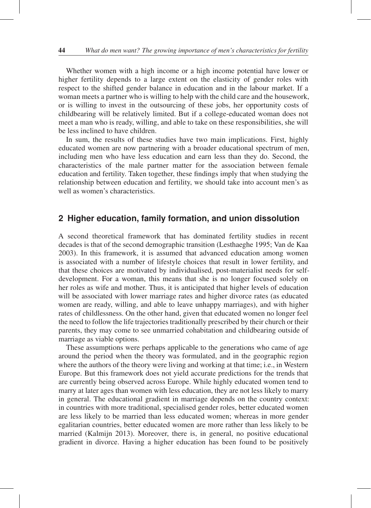Whether women with a high income or a high income potential have lower or higher fertility depends to a large extent on the elasticity of gender roles with respect to the shifted gender balance in education and in the labour market. If a woman meets a partner who is willing to help with the child care and the housework, or is willing to invest in the outsourcing of these jobs, her opportunity costs of childbearing will be relatively limited. But if a college-educated woman does not meet a man who is ready, willing, and able to take on these responsibilities, she will be less inclined to have children.

In sum, the results of these studies have two main implications. First, highly educated women are now partnering with a broader educational spectrum of men, including men who have less education and earn less than they do. Second, the characteristics of the male partner matter for the association between female education and fertility. Taken together, these findings imply that when studying the relationship between education and fertility, we should take into account men's as well as women's characteristics.

## **2 Higher education, family formation, and union dissolution**

A second theoretical framework that has dominated fertility studies in recent decades is that of the second demographic transition (Lesthaeghe 1995; Van de Kaa 2003). In this framework, it is assumed that advanced education among women is associated with a number of lifestyle choices that result in lower fertility, and that these choices are motivated by individualised, post-materialist needs for selfdevelopment. For a woman, this means that she is no longer focused solely on her roles as wife and mother. Thus, it is anticipated that higher levels of education will be associated with lower marriage rates and higher divorce rates (as educated women are ready, willing, and able to leave unhappy marriages), and with higher rates of childlessness. On the other hand, given that educated women no longer feel the need to follow the life trajectories traditionally prescribed by their church or their parents, they may come to see unmarried cohabitation and childbearing outside of marriage as viable options.

These assumptions were perhaps applicable to the generations who came of age around the period when the theory was formulated, and in the geographic region where the authors of the theory were living and working at that time; i.e., in Western Europe. But this framework does not yield accurate predictions for the trends that are currently being observed across Europe. While highly educated women tend to marry at later ages than women with less education, they are not less likely to marry in general. The educational gradient in marriage depends on the country context: in countries with more traditional, specialised gender roles, better educated women are less likely to be married than less educated women; whereas in more gender egalitarian countries, better educated women are more rather than less likely to be married (Kalmijn 2013). Moreover, there is, in general, no positive educational gradient in divorce. Having a higher education has been found to be positively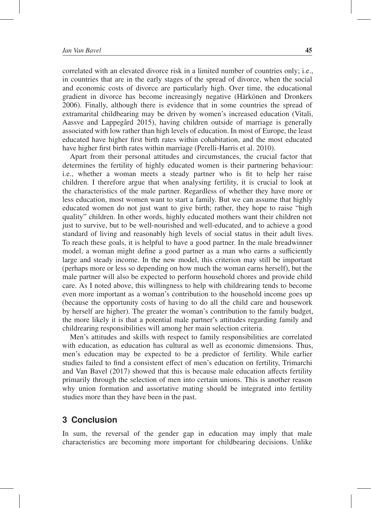correlated with an elevated divorce risk in a limited number of countries only; i.e., in countries that are in the early stages of the spread of divorce, when the social and economic costs of divorce are particularly high. Over time, the educational gradient in divorce has become increasingly negative (Härkönen and Dronkers 2006). Finally, although there is evidence that in some countries the spread of extramarital childbearing may be driven by women's increased education (Vitali, Aassve and Lappegård 2015), having children outside of marriage is generally associated with low rather than high levels of education. In most of Europe, the least educated have higher first birth rates within cohabitation, and the most educated have higher first birth rates within marriage (Perelli-Harris et al. 2010).

Apart from their personal attitudes and circumstances, the crucial factor that determines the fertility of highly educated women is their partnering behaviour: i.e., whether a woman meets a steady partner who is fit to help her raise children. I therefore argue that when analysing fertility, it is crucial to look at the characteristics of the male partner. Regardless of whether they have more or less education, most women want to start a family. But we can assume that highly educated women do not just want to give birth; rather, they hope to raise "high quality" children. In other words, highly educated mothers want their children not just to survive, but to be well-nourished and well-educated, and to achieve a good standard of living and reasonably high levels of social status in their adult lives. To reach these goals, it is helpful to have a good partner. In the male breadwinner model, a woman might define a good partner as a man who earns a sufficiently large and steady income. In the new model, this criterion may still be important (perhaps more or less so depending on how much the woman earns herself), but the male partner will also be expected to perform household chores and provide child care. As I noted above, this willingness to help with childrearing tends to become even more important as a woman's contribution to the household income goes up (because the opportunity costs of having to do all the child care and housework by herself are higher). The greater the woman's contribution to the family budget, the more likely it is that a potential male partner's attitudes regarding family and childrearing responsibilities will among her main selection criteria.

Men's attitudes and skills with respect to family responsibilities are correlated with education, as education has cultural as well as economic dimensions. Thus, men's education may be expected to be a predictor of fertility. While earlier studies failed to find a consistent effect of men's education on fertility, Trimarchi and Van Bavel (2017) showed that this is because male education affects fertility primarily through the selection of men into certain unions. This is another reason why union formation and assortative mating should be integrated into fertility studies more than they have been in the past.

### **3 Conclusion**

In sum, the reversal of the gender gap in education may imply that male characteristics are becoming more important for childbearing decisions. Unlike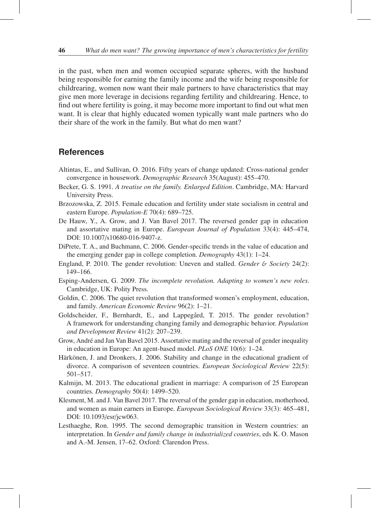in the past, when men and women occupied separate spheres, with the husband being responsible for earning the family income and the wife being responsible for childrearing, women now want their male partners to have characteristics that may give men more leverage in decisions regarding fertility and childrearing. Hence, to find out where fertility is going, it may become more important to find out what men want. It is clear that highly educated women typically want male partners who do their share of the work in the family. But what do men want?

### **References**

- Altintas, E., and Sullivan, O. 2016. Fifty years of change updated: Cross-national gender convergence in housework. *Demographic Research* 35(August): 455–470.
- Becker, G. S. 1991. *A treatise on the family. Enlarged Edition*. Cambridge, MA: Harvard University Press.
- Brzozowska, Z. 2015. Female education and fertility under state socialism in central and eastern Europe. *Population-E* 70(4): 689–725.
- De Hauw, Y., A. Grow, and J. Van Bavel 2017. The reversed gender gap in education and assortative mating in Europe. *European Journal of Population* 33(4): 445–474, DOI: 10.1007/s10680-016-9407-z.
- DiPrete, T. A., and Buchmann, C. 2006. Gender-specific trends in the value of education and the emerging gender gap in college completion. *Demography* 43(1): 1–24.
- England, P. 2010. The gender revolution: Uneven and stalled. *Gender* & *Society* 24(2): 149–166.
- Esping-Andersen, G. 2009. *The incomplete revolution. Adapting to women's new roles*. Cambridge, UK: Polity Press.
- Goldin, C. 2006. The quiet revolution that transformed women's employment, education, and family. *American Economic Review* 96(2): 1–21.
- Goldscheider, F., Bernhardt, E., and Lappegård, T. 2015. The gender revolution? A framework for understanding changing family and demographic behavior. *Population and Development Review* 41(2): 207–239.
- Grow, André and Jan Van Bavel 2015. Assortative mating and the reversal of gender inequality in education in Europe: An agent-based model. *PLoS ONE* 10(6): 1–24.
- Härkönen, J. and Dronkers, J. 2006. Stability and change in the educational gradient of divorce. A comparison of seventeen countries. *European Sociological Review* 22(5): 501–517.
- Kalmijn, M. 2013. The educational gradient in marriage: A comparison of 25 European countries. *Demography* 50(4): 1499–520.
- Klesment, M. and J. Van Bavel 2017. The reversal of the gender gap in education, motherhood, and women as main earners in Europe. *European Sociological Review* 33(3): 465–481, DOI: 10.1093/esr/jcw063.
- Lesthaeghe, Ron. 1995. The second demographic transition in Western countries: an interpretation. In *Gender and family change in industrialized countries*, eds K. O. Mason and A.-M. Jensen, 17–62. Oxford: Clarendon Press.